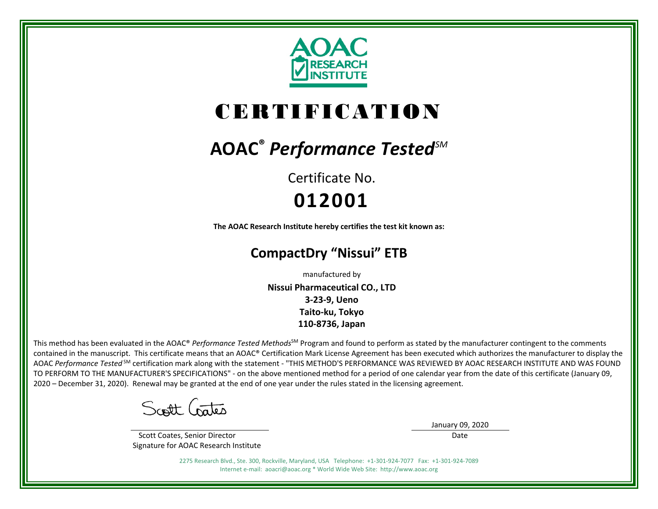

# CERTIFICATION

## **AOAC®** *Performance TestedSM*

Certificate No. **012001**

**The AOAC Research Institute hereby certifies the test kit known as:**

### **CompactDry "Nissui" ETB**

manufactured by

**Nissui Pharmaceutical CO., LTD 3-23-9, Ueno Taito-ku, Tokyo 110-8736, Japan**

This method has been evaluated in the AOAC® *Performance Tested Methods*<sup>SM</sup> Program and found to perform as stated by the manufacturer contingent to the comments contained in the manuscript. This certificate means that an AOAC® Certification Mark License Agreement has been executed which authorizes the manufacturer to display the AOAC *Performance Tested* SM certification mark along with the statement - "THIS METHOD'S PERFORMANCE WAS REVIEWED BY AOAC RESEARCH INSTITUTE AND WAS FOUND TO PERFORM TO THE MANUFACTURER'S SPECIFICATIONS" - on the above mentioned method for a period of one calendar year from the date of this certificate (January 09, 2020 – December 31, 2020). Renewal may be granted at the end of one year under the rules stated in the licensing agreement.

Scott Crates

 Scott Coates, Senior Director Signature for AOAC Research Institute January 09, 2020

Date

2275 Research Blvd., Ste. 300, Rockville, Maryland, USA Telephone: +1-301-924-7077 Fax: +1-301-924-7089 Internet e-mail: aoacri@aoac.org \* World Wide Web Site: http://www.aoac.org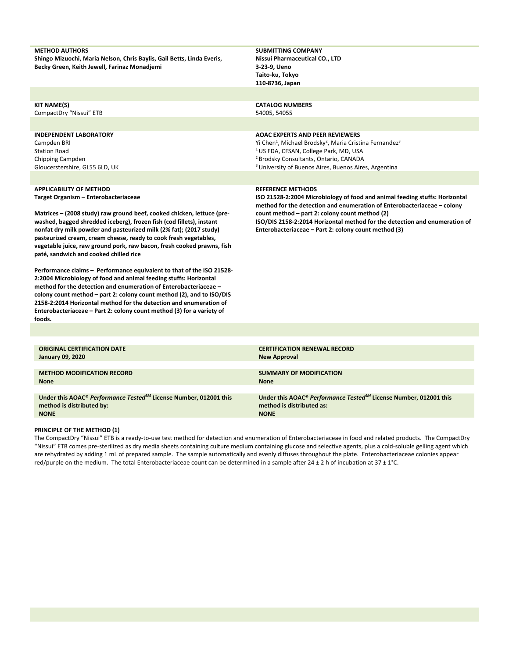| <b>METHOD AUTHORS</b><br>Shingo Mizuochi, Maria Nelson, Chris Baylis, Gail Betts, Linda Everis,                                                                                                                | <b>SUBMITTING COMPANY</b><br>Nissui Pharmaceutical CO., LTD                                                                                            |
|----------------------------------------------------------------------------------------------------------------------------------------------------------------------------------------------------------------|--------------------------------------------------------------------------------------------------------------------------------------------------------|
| Becky Green, Keith Jewell, Farinaz Monadjemi                                                                                                                                                                   | 3-23-9, Ueno                                                                                                                                           |
|                                                                                                                                                                                                                | Taito-ku, Tokyo<br>110-8736, Japan                                                                                                                     |
|                                                                                                                                                                                                                |                                                                                                                                                        |
| KIT NAME(S)<br>CompactDry "Nissui" ETB                                                                                                                                                                         | <b>CATALOG NUMBERS</b><br>54005, 54055                                                                                                                 |
|                                                                                                                                                                                                                |                                                                                                                                                        |
| <b>INDEPENDENT LABORATORY</b>                                                                                                                                                                                  | <b>AOAC EXPERTS AND PEER REVIEWERS</b>                                                                                                                 |
| Campden BRI<br><b>Station Road</b>                                                                                                                                                                             | Yi Chen <sup>1</sup> , Michael Brodsky <sup>2</sup> , Maria Cristina Fernandez <sup>3</sup><br><sup>1</sup> US FDA, CFSAN, College Park, MD, USA       |
| Chipping Campden                                                                                                                                                                                               | <sup>2</sup> Brodsky Consultants, Ontario, CANADA                                                                                                      |
| Gloucerstershire, GL55 6LD, UK                                                                                                                                                                                 | <sup>3</sup> University of Buenos Aires, Buenos Aires, Argentina                                                                                       |
|                                                                                                                                                                                                                |                                                                                                                                                        |
| <b>APPLICABILITY OF METHOD</b>                                                                                                                                                                                 | <b>REFERENCE METHODS</b>                                                                                                                               |
| Target Organism - Enterobacteriaceae                                                                                                                                                                           | ISO 21528-2:2004 Microbiology of food and animal feeding stuffs: Horizontal<br>method for the detection and enumeration of Enterobacteriaceae - colony |
| Matrices - (2008 study) raw ground beef, cooked chicken, lettuce (pre-                                                                                                                                         | count method – part 2: colony count method (2)                                                                                                         |
| washed, bagged shredded iceberg), frozen fish (cod fillets), instant<br>nonfat dry milk powder and pasteurized milk (2% fat); (2017 study)<br>pasteurized cream, cream cheese, ready to cook fresh vegetables, | ISO/DIS 2158-2:2014 Horizontal method for the detection and enumeration of<br>Enterobacteriaceae - Part 2: colony count method (3)                     |

**Performance claims – Performance equivalent to that of the ISO 21528- 2:2004 Microbiology of food and animal feeding stuffs: Horizontal method for the detection and enumeration of Enterobacteriaceae – colony count method – part 2: colony count method (2), and to ISO/DIS 2158-2:2014 Horizontal method for the detection and enumeration of Enterobacteriaceae – Part 2: colony count method (3) for a variety of foods.**

**vegetable juice, raw ground pork, raw bacon, fresh cooked prawns, fish** 

**ORIGINAL CERTIFICATION DATE January 09, 2020 CERTIFICATION RENEWAL RECORD New Approval METHOD MODIFICATION RECORD None SUMMARY OF MODIFICATION None Under this AOAC®** *Performance TestedSM* **License Number, 012001 this method is distributed by: NONE Under this AOAC®** *Performance TestedSM* **License Number, 012001 this method is distributed as: NONE**

#### **PRINCIPLE OF THE METHOD (1)**

**paté, sandwich and cooked chilled rice**

The CompactDry "Nissui" ETB is a ready-to-use test method for detection and enumeration of Enterobacteriaceae in food and related products. The CompactDry "Nissui" ETB comes pre-sterilized as dry media sheets containing culture medium containing glucose and selective agents, plus a cold-soluble gelling agent which are rehydrated by adding 1 mL of prepared sample. The sample automatically and evenly diffuses throughout the plate. Enterobacteriaceae colonies appear red/purple on the medium. The total Enterobacteriaceae count can be determined in a sample after 24 ± 2 h of incubation at 37 ± 1°C.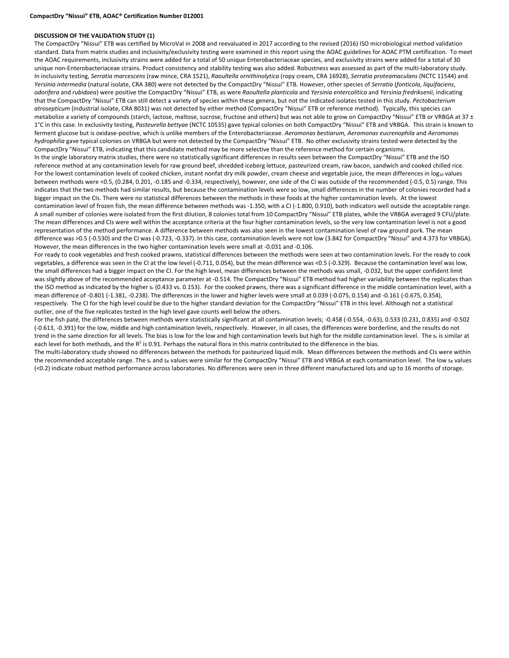#### **DISCUSSION OF THE VALIDATION STUDY (1)**

The CompactDry "Nissui" ETB was certified by MicroVal in 2008 and reevaluated in 2017 according to the revised (2016) ISO microbiological method validation standard. Data from matrix studies and inclusivity/exclusivity testing were examined in this report using the AOAC guidelines for AOAC PTM certification. To meet the AOAC requirements, inclusivity strains were added for a total of 50 unique Enterobacteriaceae species, and exclusivity strains were added for a total of 30 unique non-Enterobacteriaceae strains. Product consistency and stability testing was also added. Robustness was assessed as part of the multi-laboratory study. In inclusivity testing, *Serratia marcescens* (raw mince, CRA 1521), *Raoultella ornithinolytica* (ropy cream, CRA 16928), *Serratia proteamaculans* (NCTC 11544) and *Yersinia intermedia* (natural isolate, CRA 380) were not detected by the CompactDry "Nissui" ETB. However, other species of *Serratia* (*fonticola*, *liquifaciens*, *odorifera* and *rubidaea*) were positive the CompactDry "Nissui" ETB, as were *Raoultella planticola* and *Yersinia entercolitica* and *Yersinia fredriksenii*, indicating that the CompactDry "Nissui" ETB can still detect a variety of species within these genera, but not the indicated isolates tested in this study. *Pectobacterium atrosepticum* (industrial isolate, CRA 8031) was not detected by either method (CompactDry "Nissui" ETB or reference method). Typically, this species can metabolize a variety of compounds (starch, lactose, maltose, sucrose, fructose and others) but was not able to grow on CompactDry "Nissui" ETB or VRBGA at 37 ± 1°C in this case. In exclusivity testing, *Pasteurella bettyae* (NCTC 10535) gave typical colonies on both CompactDry "Nissui" ETB and VRBGA. This strain is known to ferment glucose but is oxidase-positive, which is unlike members of the Enterobacteriaceae. *Aeromonas bestiarum, Aeromonas eucrenophila* and *Aeromonas hydrophilia* gave typical colonies on VRBGA but were not detected by the CompactDry "Nissui" ETB. No other exclusivity strains tested were detected by the CompactDry "Nissui" ETB, indicating that this candidate method may be more selective than the reference method for certain organisms. In the single laboratory matrix studies, there were no statistically significant differences in results seen between the CompactDry "Nissui" ETB and the ISO reference method at any contamination levels for raw ground beef, shredded iceberg lettuce, pasteurized cream, raw bacon, sandwich and cooked chilled rice. For the lowest contamination levels of cooked chicken, instant nonfat dry milk powder, cream cheese and vegetable juice, the mean differences in log<sub>10</sub> values between methods were <0.5, (0.284, 0.201, -0.185 and -0.334, respectively), however, one side of the CI was outside of the recommended (-0.5, 0.5) range. This indicates that the two methods had similar results, but because the contamination levels were so low, small differences in the number of colonies recorded had a bigger impact on the CIs. There were no statistical differences between the methods in these foods at the higher contamination levels. At the lowest contamination level of frozen fish, the mean difference between methods was -1.350, with a CI (-1.800, 0.910), both indicators well outside the acceptable range. A small number of colonies were isolated from the first dilution, 8 colonies total from 10 CompactDry "Nissui" ETB plates, while the VRBGA averaged 9 CFU/plate. The mean differences and CIs were well within the acceptance criteria at the four higher contamination levels, so the very low contamination level is not a good representation of the method performance. A difference between methods was also seen in the lowest contamination level of raw ground pork. The mean difference was >0.5 (-0.530) and the CI was (-0.723, -0.337). In this case, contamination levels were not low (3.842 for CompactDry "Nissui" and 4.373 for VRBGA). However, the mean differences in the two higher contamination levels were small at -0.031 and -0.106.

For ready to cook vegetables and fresh cooked prawns, statistical differences between the methods were seen at two contamination levels. For the ready to cook vegetables, a difference was seen in the CI at the low level (-0.711, 0.054), but the mean difference was <0.5 (-0.329). Because the contamination level was low, the small differences had a bigger impact on the CI. For the high level, mean differences between the methods was small, -0.032, but the upper confident limit was slightly above of the recommended acceptance parameter at -0.514. The CompactDry "Nissui" ETB method had higher variability between the replicates than the ISO method as indicated by the higher s<sub>r</sub> (0.433 vs. 0.153). For the cooked prawns, there was a significant difference in the middle contamination level, with a mean difference of -0.801 (-1.381, -0.238). The differences in the lower and higher levels were small at 0.039 (-0.075, 0.154) and -0.161 (-0.675, 0.354), respectively. The CI for the high level could be due to the higher standard deviation for the CompactDry "Nissui" ETB in this level. Although not a statistical outlier, one of the five replicates tested in the high level gave counts well below the others.

For the fish paté, the differences between methods were statistically significant at all contamination levels; -0.458 (-0.554, -0.63), 0.533 (0.231, 0.835) and -0.502 (-0.613, -0.391) for the low, middle and high contamination levels, respectively. However, in all cases, the differences were borderline, and the results do not trend in the same direction for all levels. The bias is low for the low and high contamination levels but high for the middle contamination level. The s<sub>r</sub> is similar at each level for both methods, and the  $R^2$  is 0.91. Perhaps the natural flora in this matrix contributed to the difference in the bias.

The multi-laboratory study showed no differences between the methods for pasteurized liquid milk. Mean differences between the methods and CIs were within the recommended acceptable range. The sr and sR values were similar for the CompactDry "Nissui" ETB and VRBGA at each contamination level. The low sR values (<0.2) indicate robust method performance across laboratories. No differences were seen in three different manufactured lots and up to 16 months of storage.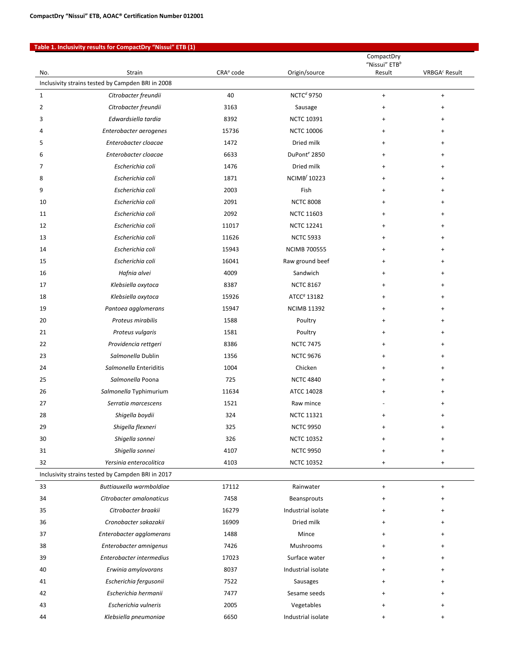#### **Table 1. Inclusivity results for CompactDry "Nissui" ETB (1)**

|                                                   |                                                   |                       |                          | CompactDry<br>"Nissui" ETB <sup>b</sup> |                           |  |  |  |  |  |
|---------------------------------------------------|---------------------------------------------------|-----------------------|--------------------------|-----------------------------------------|---------------------------|--|--|--|--|--|
| No.                                               | Strain                                            | CRA <sup>a</sup> code | Origin/source            | Result                                  | VRBGA <sup>c</sup> Result |  |  |  |  |  |
| Inclusivity strains tested by Campden BRI in 2008 |                                                   |                       |                          |                                         |                           |  |  |  |  |  |
| $\mathbf{1}$                                      | Citrobacter freundii                              | 40                    | NCTC <sup>d</sup> 9750   | $\ddot{}$                               | $+$                       |  |  |  |  |  |
| 2                                                 | Citrobacter freundii                              | 3163                  | Sausage                  | +                                       | ÷                         |  |  |  |  |  |
| 3                                                 | Edwardsiella tardia                               | 8392                  | <b>NCTC 10391</b>        | +                                       | $\ddot{}$                 |  |  |  |  |  |
| 4                                                 | Enterobacter aerogenes                            | 15736                 | <b>NCTC 10006</b>        | +                                       | ÷                         |  |  |  |  |  |
| 5                                                 | Enterobacter cloacae                              | 1472                  | Dried milk               | +                                       | $\ddot{}$                 |  |  |  |  |  |
| 6                                                 | Enterobacter cloacae                              | 6633                  | DuPont <sup>e</sup> 2850 | +                                       | $\ddot{}$                 |  |  |  |  |  |
| 7                                                 | Escherichia coli                                  | 1476                  | Dried milk               | +                                       | $\ddot{}$                 |  |  |  |  |  |
| 8                                                 | Escherichia coli                                  | 1871                  | NCIMB <sup>f</sup> 10223 | $\ddot{}$                               | $\ddot{}$                 |  |  |  |  |  |
| 9                                                 | Escherichia coli                                  | 2003                  | Fish                     | +                                       | $\ddot{}$                 |  |  |  |  |  |
| 10                                                | Escherichia coli                                  | 2091                  | <b>NCTC 8008</b>         | +                                       | $\ddot{}$                 |  |  |  |  |  |
| 11                                                | Escherichia coli                                  | 2092                  | <b>NCTC 11603</b>        | +                                       | $\ddot{}$                 |  |  |  |  |  |
| 12                                                | Escherichia coli                                  | 11017                 | <b>NCTC 12241</b>        | +                                       |                           |  |  |  |  |  |
| 13                                                | Escherichia coli                                  | 11626                 | <b>NCTC 5933</b>         | +                                       | ÷                         |  |  |  |  |  |
| 14                                                | Escherichia coli                                  | 15943                 | <b>NCIMB 700555</b>      | $\ddot{}$                               | ÷                         |  |  |  |  |  |
| 15                                                | Escherichia coli                                  | 16041                 | Raw ground beef          | +                                       | ÷                         |  |  |  |  |  |
| 16                                                | Hafnia alvei                                      | 4009                  | Sandwich                 | +                                       | $\ddot{}$                 |  |  |  |  |  |
| 17                                                | Klebsiella oxytoca                                | 8387                  | <b>NCTC 8167</b>         | +                                       | $\ddot{}$                 |  |  |  |  |  |
| 18                                                | Klebsiella oxytoca                                | 15926                 | ATCC <sup>9</sup> 13182  | $\ddot{}$                               |                           |  |  |  |  |  |
| 19                                                | Pantoea agglomerans                               | 15947                 | <b>NCIMB 11392</b>       | +                                       | $\ddot{}$                 |  |  |  |  |  |
| 20                                                | Proteus mirabilis                                 | 1588                  | Poultry                  | +                                       | $\ddot{}$                 |  |  |  |  |  |
| 21                                                | Proteus vulgaris                                  | 1581                  | Poultry                  | +                                       | $\ddot{}$                 |  |  |  |  |  |
| 22                                                | Providencia rettgeri                              | 8386                  | <b>NCTC 7475</b>         | +                                       | $\ddot{}$                 |  |  |  |  |  |
| 23                                                | Salmonella Dublin                                 | 1356                  | <b>NCTC 9676</b>         | +                                       | $\ddot{}$                 |  |  |  |  |  |
| 24                                                | Salmonella Enteriditis                            | 1004                  | Chicken                  | $\ddot{}$                               | $\ddot{}$                 |  |  |  |  |  |
| 25                                                | Salmonella Poona                                  | 725                   | <b>NCTC 4840</b>         | +                                       | $\ddot{}$                 |  |  |  |  |  |
| 26                                                | Salmonella Typhimurium                            | 11634                 | ATCC 14028               | $\ddot{}$                               |                           |  |  |  |  |  |
| 27                                                | Serratia marcescens                               | 1521                  | Raw mince                |                                         | $\ddot{}$                 |  |  |  |  |  |
| 28                                                | Shigella boydii                                   | 324                   | <b>NCTC 11321</b>        | +                                       | $\ddot{}$                 |  |  |  |  |  |
| 29                                                | Shigella flexneri                                 | 325                   | <b>NCTC 9950</b>         | +                                       | ÷                         |  |  |  |  |  |
| 30                                                | Shigella sonnei                                   | 326                   | <b>NCTC 10352</b>        |                                         |                           |  |  |  |  |  |
| 31                                                | Shigella sonnei                                   | 4107                  | <b>NCTC 9950</b>         | ÷                                       |                           |  |  |  |  |  |
| 32                                                | Yersinia enterocolitica                           | 4103                  | <b>NCTC 10352</b>        | $\ddot{}$                               | +                         |  |  |  |  |  |
|                                                   | Inclusivity strains tested by Campden BRI in 2017 |                       |                          |                                         |                           |  |  |  |  |  |
| 33                                                | Buttiauxella warmboldiae                          | 17112                 | Rainwater                | $\begin{array}{c} + \end{array}$        | $\ddot{}$                 |  |  |  |  |  |
| 34                                                | Citrobacter amalonaticus                          | 7458                  | Beansprouts              | $\ddot{}$                               |                           |  |  |  |  |  |
| 35                                                | Citrobacter braakii                               | 16279                 | Industrial isolate       |                                         |                           |  |  |  |  |  |
| 36                                                | Cronobacter sakazakii                             | 16909                 | Dried milk               |                                         |                           |  |  |  |  |  |
| 37                                                | Enterobacter agglomerans                          | 1488                  | Mince                    |                                         |                           |  |  |  |  |  |
| 38                                                | Enterobacter amnigenus                            | 7426                  | Mushrooms                |                                         |                           |  |  |  |  |  |
| 39                                                | Enterobacter intermedius                          | 17023                 | Surface water            | +                                       |                           |  |  |  |  |  |
| 40                                                | Erwinia amylovorans                               | 8037                  | Industrial isolate       |                                         |                           |  |  |  |  |  |
| 41                                                | Escherichia fergusonii                            | 7522                  | Sausages                 |                                         |                           |  |  |  |  |  |
| 42                                                | Escherichia hermanii                              | 7477                  | Sesame seeds             |                                         |                           |  |  |  |  |  |
| 43                                                | Escherichia vulneris                              | 2005                  | Vegetables               |                                         |                           |  |  |  |  |  |
| 44                                                | Klebsiella pneumoniae                             | 6650                  | Industrial isolate       | +                                       |                           |  |  |  |  |  |
|                                                   |                                                   |                       |                          |                                         |                           |  |  |  |  |  |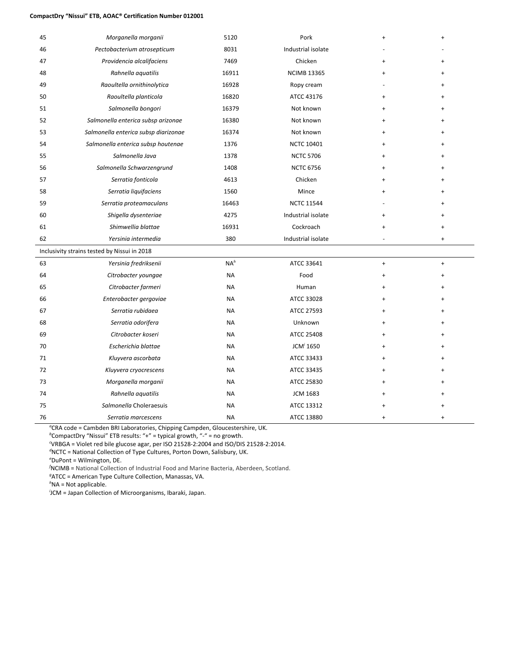#### **CompactDry "Nissui" ETB, AOAC® Certification Number 012001**

| 45 | Morganella morganii                          | 5120      | Pork               | $\ddot{}$ | $\overline{1}$ |
|----|----------------------------------------------|-----------|--------------------|-----------|----------------|
| 46 | Pectobacterium atrosepticum                  | 8031      | Industrial isolate |           |                |
| 47 | Providencia alcalifaciens                    | 7469      | Chicken            | $\ddot{}$ | $\ddot{}$      |
| 48 | Rahnella aquatilis                           | 16911     | <b>NCIMB 13365</b> | $\ddot{}$ |                |
| 49 | Raoultella ornithinolytica                   | 16928     | Ropy cream         |           |                |
| 50 | Raoultella planticola                        | 16820     | ATCC 43176         | +         |                |
| 51 | Salmonella bongori                           | 16379     | Not known          | $\div$    |                |
| 52 | Salmonella enterica subsp arizonae           | 16380     | Not known          | $\ddot{}$ |                |
| 53 | Salmonella enterica subsp diarizonae         | 16374     | Not known          |           |                |
| 54 | Salmonella enterica subsp houtenae           | 1376      | <b>NCTC 10401</b>  |           |                |
| 55 | Salmonella Java                              | 1378      | <b>NCTC 5706</b>   |           |                |
| 56 | Salmonella Schwarzengrund                    | 1408      | <b>NCTC 6756</b>   | $\ddot{}$ |                |
| 57 | Serratia fonticola                           | 4613      | Chicken            | $\ddot{}$ |                |
| 58 | Serratia liquifaciens                        | 1560      | Mince              | +         | $\ddot{}$      |
| 59 | Serratia proteamaculans                      | 16463     | <b>NCTC 11544</b>  |           |                |
| 60 | Shigella dysenteriae                         | 4275      | Industrial isolate | $\ddot{}$ |                |
| 61 | Shimwellia blattae                           | 16931     | Cockroach          |           | $\ddot{}$      |
| 62 | Yersinia intermedia                          | 380       | Industrial isolate |           | $\ddot{}$      |
|    | Inclusivity strains tested by Nissui in 2018 |           |                    |           |                |
| 63 | Yersinia fredriksenii                        | $NA^h$    | ATCC 33641         | $\ddot{}$ | $\ddot{}$      |
| 64 | Citrobacter youngae                          | <b>NA</b> | Food               | $\ddot{}$ |                |
| 65 | Citrobacter farmeri                          | <b>NA</b> | Human              | $\div$    |                |
| 66 | Enterobacter gergoviae                       | <b>NA</b> | ATCC 33028         |           |                |
| 67 | Serratia rubidaea                            | <b>NA</b> | ATCC 27593         |           |                |
| 68 | Serratia odorifera                           | <b>NA</b> | Unknown            |           |                |
| 69 | Citrobacter koseri                           | <b>NA</b> | <b>ATCC 25408</b>  | $\ddot{}$ |                |
| 70 | Escherichia blattae                          | <b>NA</b> | $JCMi$ 1650        | $\ddot{}$ |                |
| 71 | Kluyvera ascorbata                           | NA        | ATCC 33433         | $\ddot{}$ |                |
| 72 | Kluyvera cryocrescens                        | <b>NA</b> | ATCC 33435         | $\ddot{}$ |                |
| 73 | Morganella morganii                          | NA        | ATCC 25830         | $\ddot{}$ |                |
| 74 | Rahnella aquatilis                           | <b>NA</b> | <b>JCM 1683</b>    |           |                |
| 75 | Salmonella Choleraesuis                      | <b>NA</b> | ATCC 13312         |           |                |
| 76 | Serratia marcescens                          | NA        | ATCC 13880         |           |                |

*a* CRA code = Cambden BRI Laboratories, Chipping Campden, Gloucestershire, UK.

*b* CompactDry "Nissui" ETB results: "+" = typical growth, "-" = no growth.

*c* VRBGA = Violet red bile glucose agar, per ISO 21528-2:2004 and ISO/DIS 21528-2:2014.

*d* NCTC = National Collection of Type Cultures, Porton Down, Salisbury, UK.

*e* DuPont = Wilmington, DE.

*f* NCIMB = National Collection of Industrial Food and Marine Bacteria, Aberdeen, Scotland.

*g* ATCC = American Type Culture Collection, Manassas, VA.

*h* NA = Not applicable.

*i* JCM = Japan Collection of Microorganisms, Ibaraki, Japan.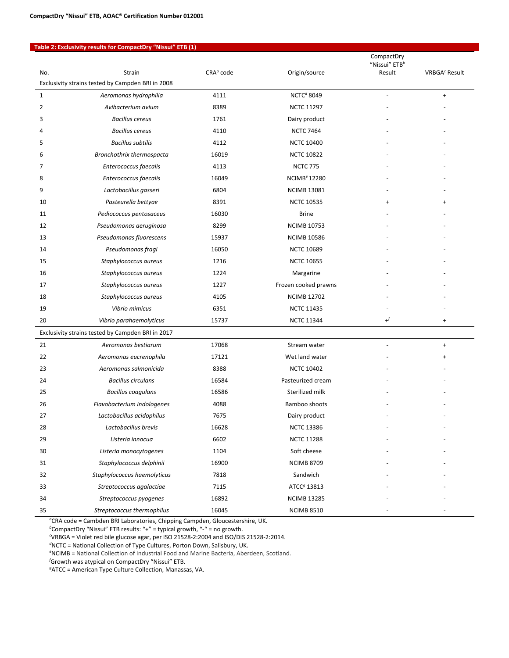#### **Table 2: Exclusivity results for CompactDry "Nissui" ETB (1)**

|                                                   |                                                   |                       |                                | CompactDry<br>"Nissui" ETB <sup>b</sup> |                           |  |  |  |  |
|---------------------------------------------------|---------------------------------------------------|-----------------------|--------------------------------|-----------------------------------------|---------------------------|--|--|--|--|
| No.                                               | Strain                                            | CRA <sup>o</sup> code | Origin/source                  | Result                                  | VRBGA <sup>c</sup> Result |  |  |  |  |
| Exclusivity strains tested by Campden BRI in 2008 |                                                   |                       |                                |                                         |                           |  |  |  |  |
| $\mathbf{1}$                                      | Aeromonas hydrophilia                             | 4111                  | NCTC <sup>d</sup> 8049         | $\overline{\phantom{a}}$                | $\ddot{}$                 |  |  |  |  |
| 2                                                 | Avibacterium avium                                | 8389                  | <b>NCTC 11297</b>              |                                         |                           |  |  |  |  |
| 3                                                 | <b>Bacillus cereus</b>                            | 1761                  | Dairy product                  |                                         |                           |  |  |  |  |
| 4                                                 | <b>Bacillus cereus</b>                            | 4110                  | <b>NCTC 7464</b>               |                                         |                           |  |  |  |  |
| 5                                                 | <b>Bacillus subtilis</b>                          | 4112                  | <b>NCTC 10400</b>              |                                         |                           |  |  |  |  |
| 6                                                 | Bronchothrix thermospacta                         | 16019                 | <b>NCTC 10822</b>              |                                         |                           |  |  |  |  |
| 7                                                 | Enterococcus faecalis                             | 4113                  | <b>NCTC 775</b>                |                                         |                           |  |  |  |  |
| 8                                                 | Enterococcus faecalis                             | 16049                 | <b>NCIMB<sup>e</sup> 12280</b> |                                         |                           |  |  |  |  |
| 9                                                 | Lactobacillus gasseri                             | 6804                  | <b>NCIMB 13081</b>             |                                         |                           |  |  |  |  |
| 10                                                | Pasteurella bettyae                               | 8391                  | <b>NCTC 10535</b>              |                                         | $\ddot{}$                 |  |  |  |  |
| 11                                                | Pediococcus pentosaceus                           | 16030                 | <b>Brine</b>                   |                                         |                           |  |  |  |  |
| 12                                                | Pseudomonas aeruginosa                            | 8299                  | <b>NCIMB 10753</b>             |                                         |                           |  |  |  |  |
| 13                                                | Pseudomonas fluorescens                           | 15937                 | <b>NCIMB 10586</b>             |                                         |                           |  |  |  |  |
| 14                                                | Pseudomonas fragi                                 | 16050                 | <b>NCTC 10689</b>              |                                         |                           |  |  |  |  |
| 15                                                | Staphylococcus aureus                             | 1216                  | <b>NCTC 10655</b>              |                                         |                           |  |  |  |  |
| 16                                                | Staphylococcus aureus                             | 1224                  | Margarine                      |                                         |                           |  |  |  |  |
| 17                                                | Staphylococcus aureus                             | 1227                  | Frozen cooked prawns           |                                         |                           |  |  |  |  |
| 18                                                | Staphylococcus aureus                             | 4105                  | <b>NCIMB 12702</b>             |                                         |                           |  |  |  |  |
| 19                                                | Vibrio mimicus                                    | 6351                  | <b>NCTC 11435</b>              |                                         |                           |  |  |  |  |
| 20                                                | Vibrio parahaemolyticus                           | 15737                 | <b>NCTC 11344</b>              | $\bm{\mathsf{H}}$                       | $\ddot{}$                 |  |  |  |  |
|                                                   | Exclusivity strains tested by Campden BRI in 2017 |                       |                                |                                         |                           |  |  |  |  |
| 21                                                | Aeromonas bestiarum                               | 17068                 | Stream water                   | $\overline{\phantom{a}}$                | $\ddot{}$                 |  |  |  |  |
| 22                                                | Aeromonas eucrenophila                            | 17121                 | Wet land water                 |                                         | $\ddot{}$                 |  |  |  |  |
| 23                                                | Aeromonas salmonicida                             | 8388                  | <b>NCTC 10402</b>              |                                         |                           |  |  |  |  |
| 24                                                | <b>Bacillus circulans</b>                         | 16584                 | Pasteurized cream              |                                         |                           |  |  |  |  |
| 25                                                | <b>Bacillus coagulans</b>                         | 16586                 | Sterilized milk                |                                         |                           |  |  |  |  |
| 26                                                | Flavobacterium indologenes                        | 4088                  | Bamboo shoots                  |                                         |                           |  |  |  |  |
| 27                                                | Lactobacillus acidophilus                         | 7675                  | Dairy product                  |                                         |                           |  |  |  |  |
| 28                                                | Lactobacillus brevis                              | 16628                 | <b>NCTC 13386</b>              |                                         |                           |  |  |  |  |
| 29                                                | Listeria innocua                                  | 6602                  | <b>NCTC 11288</b>              |                                         |                           |  |  |  |  |
| 30                                                | Listeria monocytogenes                            | 1104                  | Soft cheese                    |                                         |                           |  |  |  |  |
| 31                                                | Staphylococcus delphinii                          | 16900                 | <b>NCIMB 8709</b>              |                                         |                           |  |  |  |  |
| 32                                                | Staphylococcus haemolyticus                       | 7818                  | Sandwich                       |                                         |                           |  |  |  |  |
| 33                                                | Streptococcus agalactiae                          | 7115                  | ATCC <sup>g</sup> 13813        |                                         |                           |  |  |  |  |
| 34                                                | Streptococcus pyogenes                            | 16892                 | <b>NCIMB 13285</b>             |                                         |                           |  |  |  |  |
| 35                                                | Streptococcus thermophilus                        | 16045                 | <b>NCIMB 8510</b>              |                                         |                           |  |  |  |  |

*a* CRA code = Cambden BRI Laboratories, Chipping Campden, Gloucestershire, UK.

*b* CompactDry "Nissui" ETB results: "+" = typical growth, "-" = no growth.

*c* VRBGA = Violet red bile glucose agar, per ISO 21528-2:2004 and ISO/DIS 21528-2:2014.

*d* NCTC = National Collection of Type Cultures, Porton Down, Salisbury, UK.

*e* NCIMB = National Collection of Industrial Food and Marine Bacteria, Aberdeen, Scotland.

*f* Growth was atypical on CompactDry "Nissui" ETB.

*g* ATCC = American Type Culture Collection, Manassas, VA.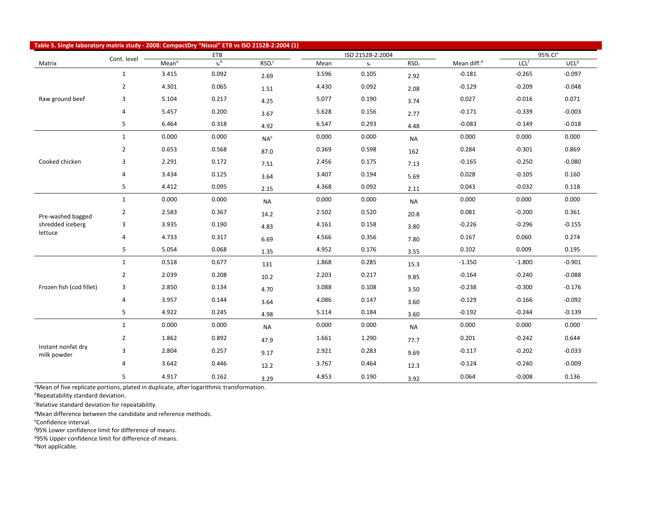| Table 5. Single laboratory matrix study - 2008: CompactDry "Nissui" ETB vs ISO 21528-2:2004 (1) |                |                   |            |                  |       |                         |                  |                |                     |                  |
|-------------------------------------------------------------------------------------------------|----------------|-------------------|------------|------------------|-------|-------------------------|------------------|----------------|---------------------|------------------|
|                                                                                                 | Cont. level    |                   | <b>ETB</b> |                  |       | ISO 21528-2:2004        |                  |                | 95% Cl <sup>e</sup> |                  |
| Matrix                                                                                          |                | Mean <sup>a</sup> | $S_r^b$    | RSD <sub>r</sub> | Mean  | $\mathsf{S}_\mathsf{r}$ | RSD <sub>r</sub> | Mean diff. $d$ | $LCL$ <sup>f</sup>  | UCL <sup>g</sup> |
|                                                                                                 | $\mathbf{1}$   | 3.415             | 0.092      | 2.69             | 3.596 | 0.105                   | 2.92             | $-0.181$       | $-0.265$            | $-0.097$         |
|                                                                                                 | $\overline{2}$ | 4.301             | 0.065      | 1.51             | 4.430 | 0.092                   | 2.08             | $-0.129$       | $-0.209$            | $-0.048$         |
| Raw ground beef                                                                                 | 3              | 5.104             | 0.217      | 4.25             | 5.077 | 0.190                   | 3.74             | 0.027          | $-0.016$            | 0.071            |
|                                                                                                 | 4              | 5.457             | 0.200      | 3.67             | 5.628 | 0.156                   | 2.77             | $-0.171$       | $-0.339$            | $-0.003$         |
|                                                                                                 | 5              | 6.464             | 0.318      | 4.92             | 6.547 | 0.293                   | 4.48             | $-0.083$       | $-0.149$            | $-0.018$         |
|                                                                                                 | $\mathbf{1}$   | 0.000             | 0.000      | $NA^h$           | 0.000 | 0.000                   | <b>NA</b>        | 0.000          | 0.000               | 0.000            |
|                                                                                                 | $\overline{2}$ | 0.653             | 0.568      | 87.0             | 0.369 | 0.598                   | 162              | 0.284          | $-0.301$            | 0.869            |
| Cooked chicken                                                                                  | 3              | 2.291             | 0.172      | 7.51             | 2.456 | 0.175                   | 7.13             | $-0.165$       | $-0.250$            | $-0.080$         |
|                                                                                                 | 4              | 3.434             | 0.125      | 3.64             | 3.407 | 0.194                   | 5.69             | 0.028          | $-0.105$            | 0.160            |
|                                                                                                 | 5              | 4.412             | 0.095      | 2.15             | 4.368 | 0.092                   | 2.11             | 0.043          | $-0.032$            | 0.118            |
|                                                                                                 | $\mathbf{1}$   | 0.000             | 0.000      | <b>NA</b>        | 0.000 | 0.000                   | <b>NA</b>        | 0.000          | 0.000               | 0.000            |
| Pre-washed bagged                                                                               | $\overline{2}$ | 2.583             | 0.367      | 14.2             | 2.502 | 0.520                   | 20.8             | 0.081          | $-0.200$            | 0.361            |
| shredded iceberg                                                                                | 3              | 3.935             | 0.190      | 4.83             | 4.161 | 0.158                   | 3.80             | $-0.226$       | $-0.296$            | $-0.155$         |
| lettuce                                                                                         | 4              | 4.733             | 0.317      | 6.69             | 4.566 | 0.356                   | 7.80             | 0.167          | 0.060               | 0.274            |
|                                                                                                 | 5              | 5.054             | 0.068      | 1.35             | 4.952 | 0.176                   | 3.55             | 0.102          | 0.009               | 0.195            |
|                                                                                                 | $\mathbf{1}$   | 0.518             | 0.677      | 131              | 1.868 | 0.285                   | 15.3             | $-1.350$       | $-1.800$            | $-0.901$         |
|                                                                                                 | $\overline{2}$ | 2.039             | 0.208      | 10.2             | 2.203 | 0.217                   | 9.85             | $-0.164$       | $-0.240$            | $-0.088$         |
| Frozen fish (cod fillet)                                                                        | 3              | 2.850             | 0.134      | 4.70             | 3.088 | 0.108                   | 3.50             | $-0.238$       | $-0.300$            | $-0.176$         |
|                                                                                                 | 4              | 3.957             | 0.144      | 3.64             | 4.086 | 0.147                   | 3.60             | $-0.129$       | $-0.166$            | $-0.092$         |
|                                                                                                 | 5              | 4.922             | 0.245      | 4.98             | 5.114 | 0.184                   | 3.60             | $-0.192$       | $-0.244$            | $-0.139$         |
|                                                                                                 | $\mathbf{1}$   | 0.000             | 0.000      | <b>NA</b>        | 0.000 | 0.000                   | <b>NA</b>        | 0.000          | 0.000               | 0.000            |
|                                                                                                 | $\overline{2}$ | 1.862             | 0.892      | 47.9             | 1.661 | 1.290                   | 77.7             | 0.201          | $-0.242$            | 0.644            |
| Instant nonfat dry<br>milk powder                                                               | 3              | 2.804             | 0.257      | 9.17             | 2.921 | 0.283                   | 9.69             | $-0.117$       | $-0.202$            | $-0.033$         |
|                                                                                                 | 4              | 3.642             | 0.446      | 12.2             | 3.767 | 0.464                   | 12.3             | $-0.124$       | $-0.240$            | $-0.009$         |
|                                                                                                 | 5              | 4.917             | 0.162      | 3.29             | 4.853 | 0.190                   | 3.92             | 0.064          | $-0.008$            | 0.136            |

*a* Mean of five replicate portions, plated in duplicate, after logarithmic transformation. *b* Repeatability standard deviation.

*c* Relative standard deviation for repeatability.

*d* Mean difference between the candidate and reference methods.

*e* Confidence interval.

*f* 95% Lower confidence limit for difference of means.

*g* 95% Upper confidence limit for difference of means.

*h* Not applicable.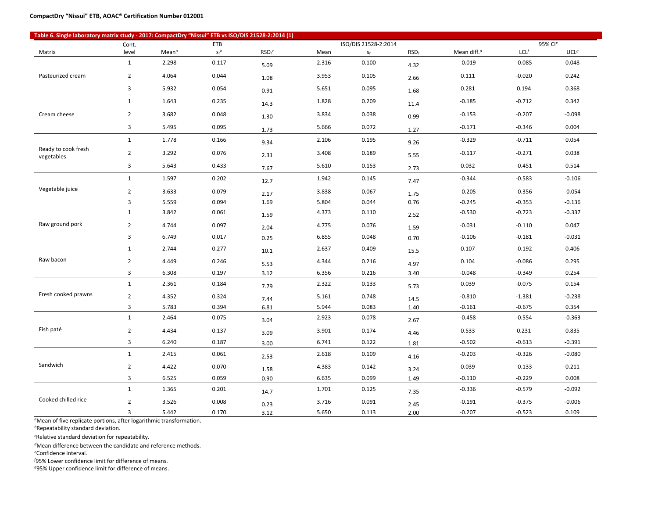| (1) Table 6. Single laboratory matrix study - 2017: CompactDry "Nissui" ETB vs ISO/DIS 21528-2:2014 |                |                   |                       |                    |       |                      |                  |                |                |                  |
|-----------------------------------------------------------------------------------------------------|----------------|-------------------|-----------------------|--------------------|-------|----------------------|------------------|----------------|----------------|------------------|
|                                                                                                     | Cont.          |                   | <b>ETB</b><br>$S_r^b$ | RSD <sub>r</sub> c |       | ISO/DIS 21528-2:2014 | RSD <sub>r</sub> | Mean diff. $d$ | 95% Cle<br>LCL | UCL <sup>g</sup> |
| Matrix                                                                                              | level          | Mean <sup>a</sup> |                       |                    | Mean  | $S_r$                |                  |                |                |                  |
|                                                                                                     | $\mathbf{1}$   | 2.298             | 0.117                 | 5.09               | 2.316 | 0.100                | 4.32             | $-0.019$       | $-0.085$       | 0.048            |
| Pasteurized cream                                                                                   | $\overline{2}$ | 4.064             | 0.044                 | 1.08               | 3.953 | 0.105                | 2.66             | 0.111          | $-0.020$       | 0.242            |
|                                                                                                     | 3              | 5.932             | 0.054                 | 0.91               | 5.651 | 0.095                | 1.68             | 0.281          | 0.194          | 0.368            |
|                                                                                                     | $\mathbf{1}$   | 1.643             | 0.235                 | 14.3               | 1.828 | 0.209                | 11.4             | $-0.185$       | $-0.712$       | 0.342            |
| Cream cheese                                                                                        | $\overline{2}$ | 3.682             | 0.048                 | 1.30               | 3.834 | 0.038                | 0.99             | $-0.153$       | $-0.207$       | $-0.098$         |
|                                                                                                     | 3              | 5.495             | 0.095                 | 1.73               | 5.666 | 0.072                | 1.27             | $-0.171$       | $-0.346$       | 0.004            |
|                                                                                                     | $\mathbf{1}$   | 1.778             | 0.166                 | 9.34               | 2.106 | 0.195                | 9.26             | $-0.329$       | $-0.711$       | 0.054            |
| Ready to cook fresh<br>vegetables                                                                   | $\overline{2}$ | 3.292             | 0.076                 | 2.31               | 3.408 | 0.189                | 5.55             | $-0.117$       | $-0.271$       | 0.038            |
|                                                                                                     | 3              | 5.643             | 0.433                 | 7.67               | 5.610 | 0.153                | 2.73             | 0.032          | $-0.451$       | 0.514            |
| Vegetable juice                                                                                     | $\mathbf{1}$   | 1.597             | 0.202                 | 12.7               | 1.942 | 0.145                | 7.47             | $-0.344$       | $-0.583$       | $-0.106$         |
|                                                                                                     | $\overline{2}$ | 3.633             | 0.079                 | 2.17               | 3.838 | 0.067                | 1.75             | $-0.205$       | $-0.356$       | $-0.054$         |
|                                                                                                     | 3              | 5.559             | 0.094                 | 1.69               | 5.804 | 0.044                | 0.76             | $-0.245$       | $-0.353$       | $-0.136$         |
| Raw ground pork                                                                                     | $\mathbf{1}$   | 3.842             | 0.061                 | 1.59               | 4.373 | 0.110                | 2.52             | $-0.530$       | $-0.723$       | $-0.337$         |
|                                                                                                     | $\overline{2}$ | 4.744             | 0.097                 | 2.04               | 4.775 | 0.076                | 1.59             | $-0.031$       | $-0.110$       | 0.047            |
|                                                                                                     | 3              | 6.749             | 0.017                 | 0.25               | 6.855 | 0.048                | 0.70             | $-0.106$       | $-0.181$       | $-0.031$         |
|                                                                                                     | $\mathbf{1}$   | 2.744             | 0.277                 | 10.1               | 2.637 | 0.409                | 15.5             | 0.107          | $-0.192$       | 0.406            |
| Raw bacon                                                                                           | $\overline{2}$ | 4.449             | 0.246                 | 5.53               | 4.344 | 0.216                | 4.97             | 0.104          | $-0.086$       | 0.295            |
|                                                                                                     | 3              | 6.308             | 0.197                 | 3.12               | 6.356 | 0.216                | 3.40             | $-0.048$       | $-0.349$       | 0.254            |
|                                                                                                     | $\mathbf{1}$   | 2.361             | 0.184                 | 7.79               | 2.322 | 0.133                | 5.73             | 0.039          | $-0.075$       | 0.154            |
| Fresh cooked prawns                                                                                 | $\overline{2}$ | 4.352             | 0.324                 | 7.44               | 5.161 | 0.748                | 14.5             | $-0.810$       | $-1.381$       | $-0.238$         |
|                                                                                                     | 3              | 5.783             | 0.394                 | 6.81               | 5.944 | 0.083                | 1.40             | $-0.161$       | $-0.675$       | 0.354            |
|                                                                                                     | $\mathbf{1}$   | 2.464             | 0.075                 | 3.04               | 2.923 | 0.078                | 2.67             | $-0.458$       | $-0.554$       | $-0.363$         |
| Fish paté                                                                                           | $\overline{2}$ | 4.434             | 0.137                 | 3.09               | 3.901 | 0.174                | 4.46             | 0.533          | 0.231          | 0.835            |
|                                                                                                     | 3              | 6.240             | 0.187                 | 3.00               | 6.741 | 0.122                | 1.81             | $-0.502$       | $-0.613$       | $-0.391$         |
|                                                                                                     | $\mathbf{1}$   | 2.415             | 0.061                 | 2.53               | 2.618 | 0.109                | 4.16             | $-0.203$       | $-0.326$       | $-0.080$         |
| Sandwich                                                                                            | $\overline{2}$ | 4.422             | 0.070                 | 1.58               | 4.383 | 0.142                | 3.24             | 0.039          | $-0.133$       | 0.211            |
|                                                                                                     | 3              | 6.525             | 0.059                 | 0.90               | 6.635 | 0.099                | 1.49             | $-0.110$       | $-0.229$       | 0.008            |
|                                                                                                     | $\mathbf{1}$   | 1.365             | 0.201                 | 14.7               | 1.701 | 0.125                | 7.35             | $-0.336$       | $-0.579$       | $-0.092$         |
| Cooked chilled rice                                                                                 | $\overline{2}$ | 3.526             | 0.008                 | 0.23               | 3.716 | 0.091                | 2.45             | $-0.191$       | $-0.375$       | $-0.006$         |
|                                                                                                     | 3              | 5.442             | 0.170                 | 3.12               | 5.650 | 0.113                | 2.00             | $-0.207$       | $-0.523$       | 0.109            |

*<sup>a</sup>*Mean of five replicate portions, after logarithmic transformation.

*<sup>b</sup>*Repeatability standard deviation.

*c* Relative standard deviation for repeatability.

*<sup>d</sup>*Mean difference between the candidate and reference methods.

*e* Confidence interval.

*f* 95% Lower confidence limit for difference of means.

*g*95% Upper confidence limit for difference of means.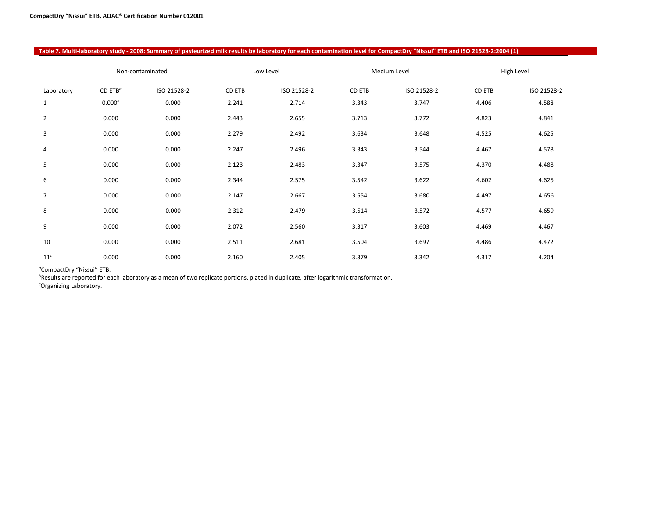|                 |                                  | Non-contaminated | Medium Level<br>Low Level |             |        | High Level  |        |             |
|-----------------|----------------------------------|------------------|---------------------------|-------------|--------|-------------|--------|-------------|
| Laboratory      | CD ETB <sup><math>a</math></sup> | ISO 21528-2      | CD ETB                    | ISO 21528-2 | CD ETB | ISO 21528-2 | CD ETB | ISO 21528-2 |
| 1               | 0.000 <sup>b</sup>               | 0.000            | 2.241                     | 2.714       | 3.343  | 3.747       | 4.406  | 4.588       |
| $\overline{2}$  | 0.000                            | 0.000            | 2.443                     | 2.655       | 3.713  | 3.772       | 4.823  | 4.841       |
| 3               | 0.000                            | 0.000            | 2.279                     | 2.492       | 3.634  | 3.648       | 4.525  | 4.625       |
| 4               | 0.000                            | 0.000            | 2.247                     | 2.496       | 3.343  | 3.544       | 4.467  | 4.578       |
| 5               | 0.000                            | 0.000            | 2.123                     | 2.483       | 3.347  | 3.575       | 4.370  | 4.488       |
| 6               | 0.000                            | 0.000            | 2.344                     | 2.575       | 3.542  | 3.622       | 4.602  | 4.625       |
| $\overline{7}$  | 0.000                            | 0.000            | 2.147                     | 2.667       | 3.554  | 3.680       | 4.497  | 4.656       |
| 8               | 0.000                            | 0.000            | 2.312                     | 2.479       | 3.514  | 3.572       | 4.577  | 4.659       |
| 9               | 0.000                            | 0.000            | 2.072                     | 2.560       | 3.317  | 3.603       | 4.469  | 4.467       |
| 10              | 0.000                            | 0.000            | 2.511                     | 2.681       | 3.504  | 3.697       | 4.486  | 4.472       |
| 11 <sup>c</sup> | 0.000                            | 0.000            | 2.160                     | 2.405       | 3.379  | 3.342       | 4.317  | 4.204       |

**Table 7. Multi-laboratory study - 2008: Summary of pasteurized milk results by laboratory for each contamination level for CompactDry "Nissui" ETB and ISO 21528-2:2004 (1)**

*a* CompactDry "Nissui" ETB.

*b* Results are reported for each laboratory as a mean of two replicate portions, plated in duplicate, after logarithmic transformation.

*c* Organizing Laboratory.